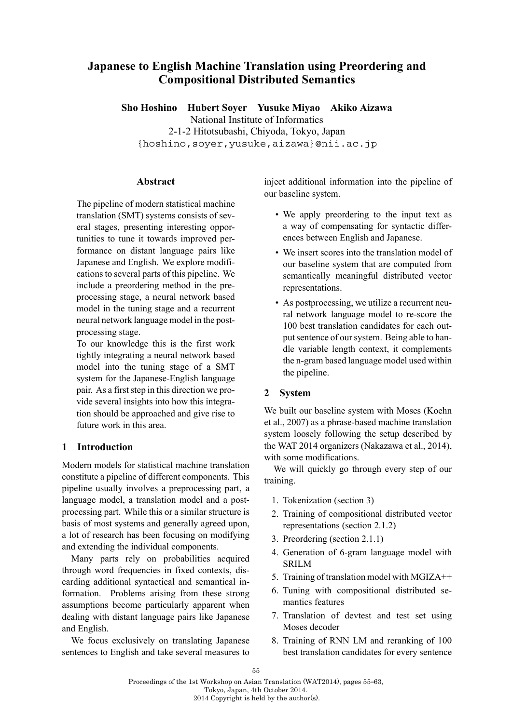# **Japanese to English Machine Translation using Preordering and Compositional Distributed Semantics**

**Sho Hoshino Hubert Soyer Yusuke Miyao Akiko Aizawa**

National Institute of Informatics

2-1-2 Hitotsubashi, Chiyoda, Tokyo, Japan {hoshino,soyer,yusuke,aizawa}@nii.ac.jp

# **Abstract**

The pipeline of modern statistical machine translation (SMT) systems consists of several stages, presenting interesting opportunities to tune it towards improved performance on distant language pairs like Japanese and English. We explore modifications to several parts of this pipeline. We include a preordering method in the preprocessing stage, a neural network based model in the tuning stage and a recurrent neural network language model in the postprocessing stage.

To our knowledge this is the first work tightly integrating a neural network based model into the tuning stage of a SMT system for the Japanese-English language pair. As a first step in this direction we provide several insights into how this integration should be approached and give rise to future work in this area.

# **1 Introduction**

Modern models for statistical machine translation constitute a pipeline of different components. This pipeline usually involves a preprocessing part, a language model, a translation model and a postprocessing part. While this or a similar structure is basis of most systems and generally agreed upon, a lot of research has been focusing on modifying and extending the individual components.

Many parts rely on probabilities acquired through word frequencies in fixed contexts, discarding additional syntactical and semantical information. Problems arising from these strong assumptions become particularly apparent when dealing with distant language pairs like Japanese and English.

We focus exclusively on translating Japanese sentences to English and take several measures to

inject additional information into the pipeline of our baseline system.

- We apply preordering to the input text as a way of compensating for syntactic differences between English and Japanese.
- We insert scores into the translation model of our baseline system that are computed from semantically meaningful distributed vector representations.
- As postprocessing, we utilize a recurrent neural network language model to re-score the 100 best translation candidates for each output sentence of our system. Being able to handle variable length context, it complements the n-gram based language model used within the pipeline.

# **2 System**

We built our baseline system with Moses (Koehn et al., 2007) as a phrase-based machine translation system loosely following the setup described by the WAT 2014 organizers (Nakazawa et al., 2014), with some modifications.

We will quickly go through every step of our training.

- 1. Tokenization (section 3)
- 2. Training of compositional distributed vector representations (section 2.1.2)
- 3. Preordering (section 2.1.1)
- 4. Generation of 6-gram language model with SRILM
- 5. Training of translation model with MGIZA++
- 6. Tuning with compositional distributed semantics features
- 7. Translation of devtest and test set using Moses decoder
- 8. Training of RNN LM and reranking of 100 best translation candidates for every sentence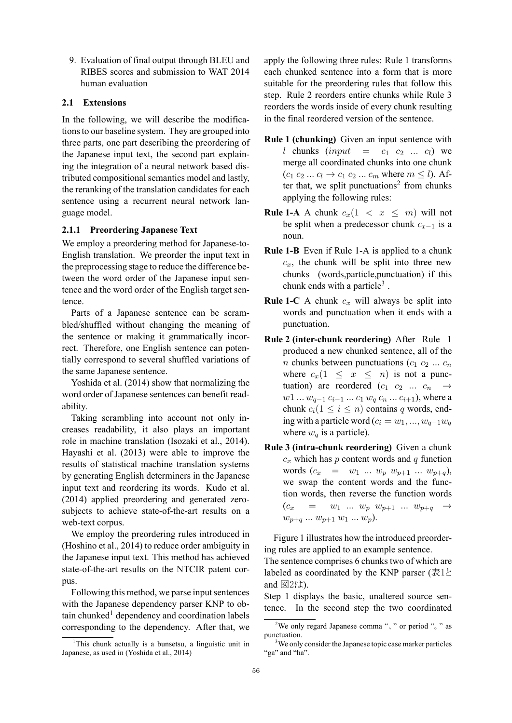9. Evaluation of final output through BLEU and RIBES scores and submission to WAT 2014 human evaluation

## **2.1 Extensions**

In the following, we will describe the modifications to our baseline system. They are grouped into three parts, one part describing the preordering of the Japanese input text, the second part explaining the integration of a neural network based distributed compositional semantics model and lastly, the reranking of the translation candidates for each sentence using a recurrent neural network language model.

### **2.1.1 Preordering Japanese Text**

We employ a preordering method for Japanese-to-English translation. We preorder the input text in the preprocessing stage to reduce the difference between the word order of the Japanese input sentence and the word order of the English target sentence.

Parts of a Japanese sentence can be scrambled/shuffled without changing the meaning of the sentence or making it grammatically incorrect. Therefore, one English sentence can potentially correspond to several shuffled variations of the same Japanese sentence.

Yoshida et al. (2014) show that normalizing the word order of Japanese sentences can benefit readability.

Taking scrambling into account not only increases readability, it also plays an important role in machine translation (Isozaki et al., 2014). Hayashi et al. (2013) were able to improve the results of statistical machine translation systems by generating English determiners in the Japanese input text and reordering its words. Kudo et al. (2014) applied preordering and generated zerosubjects to achieve state-of-the-art results on a web-text corpus.

We employ the preordering rules introduced in (Hoshino et al., 2014) to reduce order ambiguity in the Japanese input text. This method has achieved state-of-the-art results on the NTCIR patent corpus.

Following this method, we parse input sentences with the Japanese dependency parser KNP to obtain chunked<sup>1</sup> dependency and coordination labels corresponding to the dependency. After that, we

apply the following three rules: Rule 1 transforms each chunked sentence into a form that is more suitable for the preordering rules that follow this step. Rule 2 reorders entire chunks while Rule 3 reorders the words inside of every chunk resulting in the final reordered version of the sentence.

- **Rule 1 (chunking)** Given an input sentence with *l* chunks  $(input = c_1 \ c_2 \ ... \ c_l)$  we merge all coordinated chunks into one chunk  $(c_1 c_2 ... c_l \to c_1 c_2 ... c_m$  where  $m \leq l$ ). After that, we split punctuations<sup>2</sup> from chunks applying the following rules:
- **Rule 1-A** A chunk  $c_x(1 \lt x \leq m)$  will not be split when a predecessor chunk *cx−*<sup>1</sup> is a noun.
- **Rule 1-B** Even if Rule 1-A is applied to a chunk  $c_x$ , the chunk will be split into three new chunks (words,particle,punctuation) if this chunk ends with a particle<sup>3</sup> .
- **Rule 1-C** A chunk *c<sup>x</sup>* will always be split into words and punctuation when it ends with a punctuation.
- **Rule 2 (inter-chunk reordering)** After Rule 1 produced a new chunked sentence, all of the *n* chunks between punctuations  $(c_1 \ c_2 \ ... \ c_n)$ where  $c_x(1 \leq x \leq n)$  is not a punctuation) are reordered  $(c_1 \ c_2 \ ... \ c_n \rightarrow$ *w*<sup>1</sup> *... w*<sub>*q*−1</sub> *c*<sub>*i*</sub>−1</sub> *... c*<sub>1</sub> *w*<sub>*q*</sub> *c*<sub>*n*</sub> *... c*<sub>*i*+1</sub>), where a chunk  $c_i(1 \leq i \leq n)$  contains *q* words, ending with a particle word ( $c_i = w_1, ..., w_{q-1}w_q$ where  $w_q$  is a particle).
- **Rule 3 (intra-chunk reordering)** Given a chunk  $c_x$  which has *p* content words and *q* function words  $(c_x = w_1 ... w_p w_{p+1} ... w_{p+q}),$ we swap the content words and the function words, then reverse the function words  $(c_x = w_1 ... w_p w_{p+1} ... w_{p+q} \rightarrow$  $w_{p+q} \ldots w_{p+1} \, w_1 \ldots w_p$ .

Figure 1 illustrates how the introduced preordering rules are applied to an example sentence.

The sentence comprises 6 chunks two of which are labeled as coordinated by the KNP parser (表1と) and  $\boxtimes 2$ は).

Step 1 displays the basic, unaltered source sentence. In the second step the two coordinated

<sup>&</sup>lt;sup>1</sup>This chunk actually is a bunsetsu, a linguistic unit in Japanese, as used in (Yoshida et al., 2014)

<sup>2</sup>We only regard Japanese comma "、" or period "。" as punctuation.

<sup>&</sup>lt;sup>3</sup>We only consider the Japanese topic case marker particles "ga" and "ha".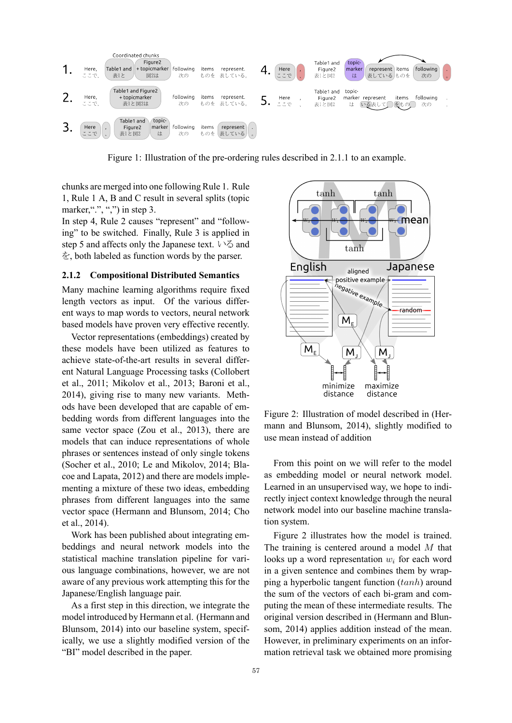

Figure 1: Illustration of the pre-ordering rules described in 2.1.1 to an example.

chunks are merged into one following Rule 1. Rule 1, Rule 1 A, B and C result in several splits (topic marker,"", ",") in step 3.

In step 4, Rule 2 causes "represent" and "following" to be switched. Finally, Rule 3 is applied in step 5 and affects only the Japanese text. いる and を, both labeled as function words by the parser.

### **2.1.2 Compositional Distributed Semantics**

Many machine learning algorithms require fixed length vectors as input. Of the various different ways to map words to vectors, neural network based models have proven very effective recently.

Vector representations (embeddings) created by these models have been utilized as features to achieve state-of-the-art results in several different Natural Language Processing tasks (Collobert et al., 2011; Mikolov et al., 2013; Baroni et al., 2014), giving rise to many new variants. Methods have been developed that are capable of embedding words from different languages into the same vector space (Zou et al., 2013), there are models that can induce representations of whole phrases or sentences instead of only single tokens (Socher et al., 2010; Le and Mikolov, 2014; Blacoe and Lapata, 2012) and there are models implementing a mixture of these two ideas, embedding phrases from different languages into the same vector space (Hermann and Blunsom, 2014; Cho et al., 2014).

Work has been published about integrating embeddings and neural network models into the statistical machine translation pipeline for various language combinations, however, we are not aware of any previous work attempting this for the Japanese/English language pair.

As a first step in this direction, we integrate the model introduced by Hermann et al. (Hermann and Blunsom, 2014) into our baseline system, specifically, we use a slightly modified version of the "BI" model described in the paper.



Figure 2: Illustration of model described in (Hermann and Blunsom, 2014), slightly modified to use mean instead of addition

From this point on we will refer to the model as embedding model or neural network model. Learned in an unsupervised way, we hope to indirectly inject context knowledge through the neural network model into our baseline machine translation system.

Figure 2 illustrates how the model is trained. The training is centered around a model *M* that looks up a word representation *w<sup>i</sup>* for each word in a given sentence and combines them by wrapping a hyperbolic tangent function (*tanh*) around the sum of the vectors of each bi-gram and computing the mean of these intermediate results. The original version described in (Hermann and Blunsom, 2014) applies addition instead of the mean. However, in preliminary experiments on an information retrieval task we obtained more promising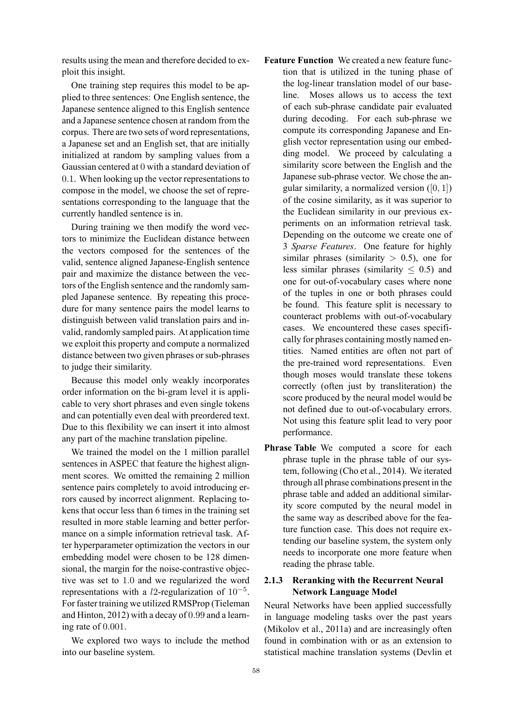results using the mean and therefore decided to exploit this insight.

One training step requires this model to be applied to three sentences: One English sentence, the Japanese sentence aligned to this English sentence and a Japanese sentence chosen at random from the corpus. There are two sets of word representations, a Japanese set and an English set, that are initially initialized at random by sampling values from a Gaussian centered at 0 with a standard deviation of 0*.*1. When looking up the vector representations to compose in the model, we choose the set of representations corresponding to the language that the currently handled sentence is in.

During training we then modify the word vectors to minimize the Euclidean distance between the vectors composed for the sentences of the valid, sentence aligned Japanese-English sentence pair and maximize the distance between the vectors of the English sentence and the randomly sampled Japanese sentence. By repeating this procedure for many sentence pairs the model learns to distinguish between valid translation pairs and invalid, randomly sampled pairs. At application time we exploit this property and compute a normalized distance between two given phrases or sub-phrases to judge their similarity.

Because this model only weakly incorporates order information on the bi-gram level it is applicable to very short phrases and even single tokens and can potentially even deal with preordered text. Due to this flexibility we can insert it into almost any part of the machine translation pipeline.

We trained the model on the 1 million parallel sentences in ASPEC that feature the highest alignment scores. We omitted the remaining 2 million sentence pairs completely to avoid introducing errors caused by incorrect alignment. Replacing tokens that occur less than 6 times in the training set resulted in more stable learning and better performance on a simple information retrieval task. After hyperparameter optimization the vectors in our embedding model were chosen to be 128 dimensional, the margin for the noise-contrastive objective was set to 1*.*0 and we regularized the word representations with a *l*2-regularization of 10*−*<sup>5</sup> . For faster training we utilized RMSProp (Tieleman and Hinton, 2012) with a decay of 0*.*99 and a learning rate of 0*.*001.

We explored two ways to include the method into our baseline system.

- **Feature Function** We created a new feature function that is utilized in the tuning phase of the log-linear translation model of our baseline. Moses allows us to access the text of each sub-phrase candidate pair evaluated during decoding. For each sub-phrase we compute its corresponding Japanese and English vector representation using our embedding model. We proceed by calculating a similarity score between the English and the Japanese sub-phrase vector. We chose the angular similarity, a normalized version ([0*,* 1]) of the cosine similarity, as it was superior to the Euclidean similarity in our previous experiments on an information retrieval task. Depending on the outcome we create one of 3 *Sparse Features*. One feature for highly similar phrases (similarity *>* 0.5), one for less similar phrases (similarity *≤* 0.5) and one for out-of-vocabulary cases where none of the tuples in one or both phrases could be found. This feature split is necessary to counteract problems with out-of-vocabulary cases. We encountered these cases specifically for phrases containing mostly named entities. Named entities are often not part of the pre-trained word representations. Even though moses would translate these tokens correctly (often just by transliteration) the score produced by the neural model would be not defined due to out-of-vocabulary errors. Not using this feature split lead to very poor performance.
- **Phrase Table** We computed a score for each phrase tuple in the phrase table of our system, following (Cho et al., 2014). We iterated through all phrase combinations present in the phrase table and added an additional similarity score computed by the neural model in the same way as described above for the feature function case. This does not require extending our baseline system, the system only needs to incorporate one more feature when reading the phrase table.

## **2.1.3 Reranking with the Recurrent Neural Network Language Model**

Neural Networks have been applied successfully in language modeling tasks over the past years (Mikolov et al., 2011a) and are increasingly often found in combination with or as an extension to statistical machine translation systems (Devlin et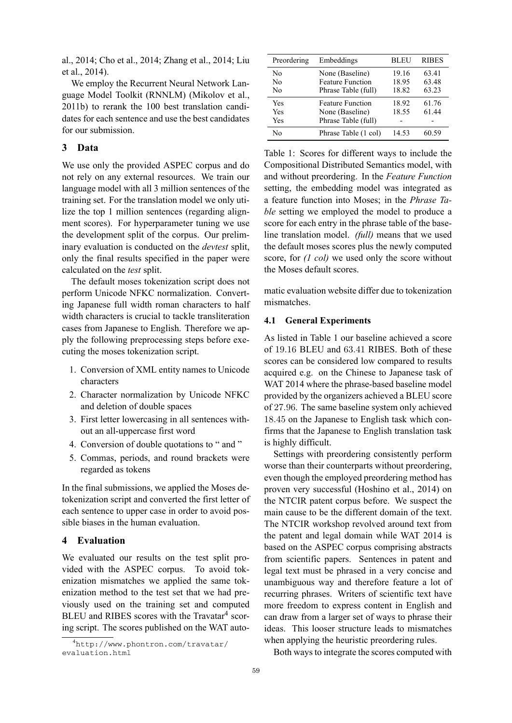al., 2014; Cho et al., 2014; Zhang et al., 2014; Liu et al., 2014).

We employ the Recurrent Neural Network Language Model Toolkit (RNNLM) (Mikolov et al., 2011b) to rerank the 100 best translation candidates for each sentence and use the best candidates for our submission.

# **3 Data**

We use only the provided ASPEC corpus and do not rely on any external resources. We train our language model with all 3 million sentences of the training set. For the translation model we only utilize the top 1 million sentences (regarding alignment scores). For hyperparameter tuning we use the development split of the corpus. Our preliminary evaluation is conducted on the *devtest* split, only the final results specified in the paper were calculated on the *test* split.

The default moses tokenization script does not perform Unicode NFKC normalization. Converting Japanese full width roman characters to half width characters is crucial to tackle transliteration cases from Japanese to English. Therefore we apply the following preprocessing steps before executing the moses tokenization script.

- 1. Conversion of XML entity names to Unicode characters
- 2. Character normalization by Unicode NFKC and deletion of double spaces
- 3. First letter lowercasing in all sentences without an all-uppercase first word
- 4. Conversion of double quotations to " and "
- 5. Commas, periods, and round brackets were regarded as tokens

In the final submissions, we applied the Moses detokenization script and converted the first letter of each sentence to upper case in order to avoid possible biases in the human evaluation.

## **4 Evaluation**

We evaluated our results on the test split provided with the ASPEC corpus. To avoid tokenization mismatches we applied the same tokenization method to the test set that we had previously used on the training set and computed BLEU and RIBES scores with the Travatar<sup>4</sup> scoring script. The scores published on the WAT auto-

| Preordering       | Embeddings                                                        | BLEU                    | <b>RIBES</b>            |
|-------------------|-------------------------------------------------------------------|-------------------------|-------------------------|
| No<br>No<br>No    | None (Baseline)<br><b>Feature Function</b><br>Phrase Table (full) | 19.16<br>18.95<br>18.82 | 63.41<br>63.48<br>63.23 |
| Yes<br>Yes<br>Yes | <b>Feature Function</b><br>None (Baseline)<br>Phrase Table (full) | 18.92<br>18.55          | 61.76<br>61 44          |
| No                | Phrase Table (1 col)                                              | 14.53                   | 60.59                   |

Table 1: Scores for different ways to include the Compositional Distributed Semantics model, with and without preordering. In the *Feature Function* setting, the embedding model was integrated as a feature function into Moses; in the *Phrase Table* setting we employed the model to produce a score for each entry in the phrase table of the baseline translation model. *(full)* means that we used the default moses scores plus the newly computed score, for *(1 col)* we used only the score without the Moses default scores.

matic evaluation website differ due to tokenization mismatches.

### **4.1 General Experiments**

As listed in Table 1 our baseline achieved a score of 19*.*16 BLEU and 63*.*41 RIBES. Both of these scores can be considered low compared to results acquired e.g. on the Chinese to Japanese task of WAT 2014 where the phrase-based baseline model provided by the organizers achieved a BLEU score of 27*.*96. The same baseline system only achieved 18*.*45 on the Japanese to English task which confirms that the Japanese to English translation task is highly difficult.

Settings with preordering consistently perform worse than their counterparts without preordering, even though the employed preordering method has proven very successful (Hoshino et al., 2014) on the NTCIR patent corpus before. We suspect the main cause to be the different domain of the text. The NTCIR workshop revolved around text from the patent and legal domain while WAT 2014 is based on the ASPEC corpus comprising abstracts from scientific papers. Sentences in patent and legal text must be phrased in a very concise and unambiguous way and therefore feature a lot of recurring phrases. Writers of scientific text have more freedom to express content in English and can draw from a larger set of ways to phrase their ideas. This looser structure leads to mismatches when applying the heuristic preordering rules.

Both ways to integrate the scores computed with

<sup>4</sup>http://www.phontron.com/travatar/ evaluation.html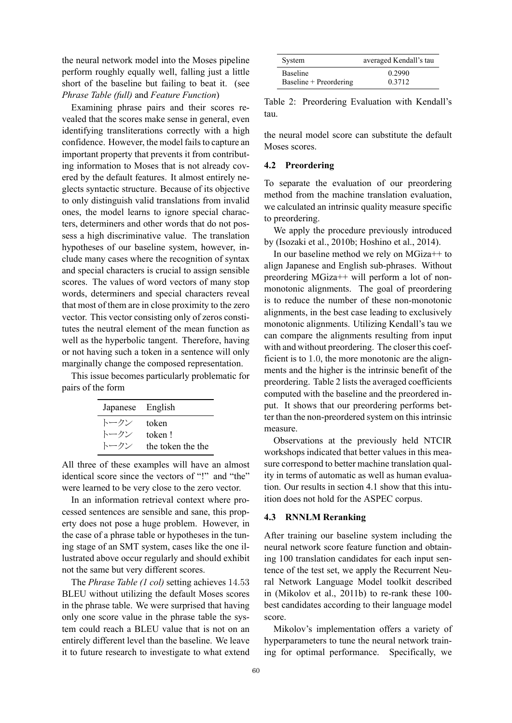the neural network model into the Moses pipeline perform roughly equally well, falling just a little short of the baseline but failing to beat it. (see *Phrase Table (full)* and *Feature Function*)

Examining phrase pairs and their scores revealed that the scores make sense in general, even identifying transliterations correctly with a high confidence. However, the model fails to capture an important property that prevents it from contributing information to Moses that is not already covered by the default features. It almost entirely neglects syntactic structure. Because of its objective to only distinguish valid translations from invalid ones, the model learns to ignore special characters, determiners and other words that do not possess a high discriminative value. The translation hypotheses of our baseline system, however, include many cases where the recognition of syntax and special characters is crucial to assign sensible scores. The values of word vectors of many stop words, determiners and special characters reveal that most of them are in close proximity to the zero vector. This vector consisting only of zeros constitutes the neutral element of the mean function as well as the hyperbolic tangent. Therefore, having or not having such a token in a sentence will only marginally change the composed representation.

This issue becomes particularly problematic for pairs of the form

| Japanese English |                   |
|------------------|-------------------|
| トークン             | token             |
| トークン             | token!            |
| トークン             | the token the the |

All three of these examples will have an almost identical score since the vectors of "!" and "the" were learned to be very close to the zero vector.

In an information retrieval context where processed sentences are sensible and sane, this property does not pose a huge problem. However, in the case of a phrase table or hypotheses in the tuning stage of an SMT system, cases like the one illustrated above occur regularly and should exhibit not the same but very different scores.

The *Phrase Table (1 col)* setting achieves 14*.*53 BLEU without utilizing the default Moses scores in the phrase table. We were surprised that having only one score value in the phrase table the system could reach a BLEU value that is not on an entirely different level than the baseline. We leave it to future research to investigate to what extend

| System                 | averaged Kendall's tau |
|------------------------|------------------------|
| Baseline               | 0.2990                 |
| Baseline + Preordering | 0.3712                 |

Table 2: Preordering Evaluation with Kendall's tau.

the neural model score can substitute the default Moses scores.

### **4.2 Preordering**

To separate the evaluation of our preordering method from the machine translation evaluation, we calculated an intrinsic quality measure specific to preordering.

We apply the procedure previously introduced by (Isozaki et al., 2010b; Hoshino et al., 2014).

In our baseline method we rely on MGiza++ to align Japanese and English sub-phrases. Without preordering MGiza++ will perform a lot of nonmonotonic alignments. The goal of preordering is to reduce the number of these non-monotonic alignments, in the best case leading to exclusively monotonic alignments. Utilizing Kendall's tau we can compare the alignments resulting from input with and without preordering. The closer this coefficient is to 1*.*0, the more monotonic are the alignments and the higher is the intrinsic benefit of the preordering. Table 2 lists the averaged coefficients computed with the baseline and the preordered input. It shows that our preordering performs better than the non-preordered system on this intrinsic measure.

Observations at the previously held NTCIR workshops indicated that better values in this measure correspond to better machine translation quality in terms of automatic as well as human evaluation. Our results in section 4.1 show that this intuition does not hold for the ASPEC corpus.

#### **4.3 RNNLM Reranking**

After training our baseline system including the neural network score feature function and obtaining 100 translation candidates for each input sentence of the test set, we apply the Recurrent Neural Network Language Model toolkit described in (Mikolov et al., 2011b) to re-rank these 100 best candidates according to their language model score.

Mikolov's implementation offers a variety of hyperparameters to tune the neural network training for optimal performance. Specifically, we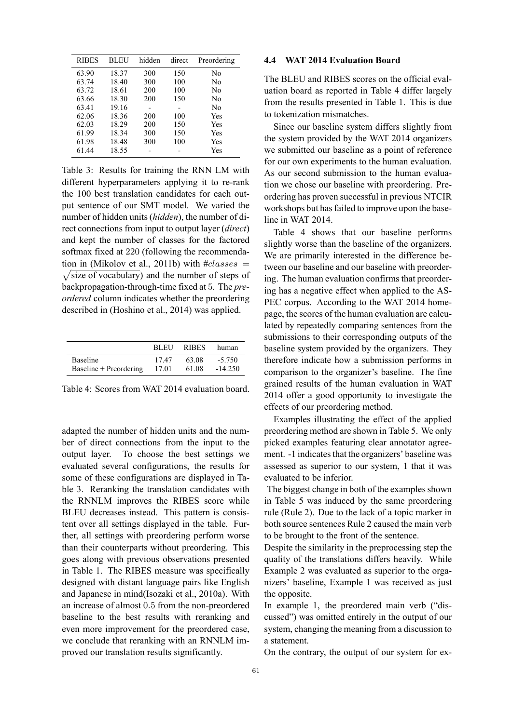| <b>RIBES</b> | BLEU  | hidden | direct | Preordering    |
|--------------|-------|--------|--------|----------------|
| 63.90        | 18.37 | 300    | 150    | No             |
| 63.74        | 18.40 | 300    | 100    | No             |
| 63.72        | 18.61 | 200    | 100    | N <sub>0</sub> |
| 63.66        | 18.30 | 200    | 150    | N <sub>0</sub> |
| 63.41        | 19.16 |        |        | N <sub>0</sub> |
| 62.06        | 18.36 | 200    | 100    | Yes            |
| 62.03        | 18.29 | 200    | 150    | Yes            |
| 61.99        | 18.34 | 300    | 150    | Yes            |
| 61.98        | 18.48 | 300    | 100    | Yes            |
| 61.44        | 18.55 |        |        | Yes            |

Table 3: Results for training the RNN LM with different hyperparameters applying it to re-rank the 100 best translation candidates for each output sentence of our SMT model. We varied the number of hidden units (*hidden*), the number of direct connections from input to output layer (*direct*) and kept the number of classes for the factored softmax fixed at 220 (following the recommendation in (Mikolov et al., 2011b) with # *classes* = √ size of vocabulary) and the number of steps of backpropagation-through-time fixed at 5. The *preordered* column indicates whether the preordering described in (Hoshino et al., 2014) was applied.

|                        | <b>BLEU</b> | <b>RIBES</b> | human     |
|------------------------|-------------|--------------|-----------|
| <b>Baseline</b>        | 1747        | 63.08        | $-5.750$  |
| Baseline + Preordering | 17.01       | 61.08        | $-14.250$ |

Table 4: Scores from WAT 2014 evaluation board.

adapted the number of hidden units and the number of direct connections from the input to the output layer. To choose the best settings we evaluated several configurations, the results for some of these configurations are displayed in Table 3. Reranking the translation candidates with the RNNLM improves the RIBES score while BLEU decreases instead. This pattern is consistent over all settings displayed in the table. Further, all settings with preordering perform worse than their counterparts without preordering. This goes along with previous observations presented in Table 1. The RIBES measure was specifically designed with distant language pairs like English and Japanese in mind(Isozaki et al., 2010a). With an increase of almost 0*.*5 from the non-preordered baseline to the best results with reranking and even more improvement for the preordered case, we conclude that reranking with an RNNLM improved our translation results significantly.

### **4.4 WAT 2014 Evaluation Board**

The BLEU and RIBES scores on the official evaluation board as reported in Table 4 differ largely from the results presented in Table 1. This is due to tokenization mismatches.

Since our baseline system differs slightly from the system provided by the WAT 2014 organizers we submitted our baseline as a point of reference for our own experiments to the human evaluation. As our second submission to the human evaluation we chose our baseline with preordering. Preordering has proven successful in previous NTCIR workshops but has failed to improve upon the baseline in WAT 2014.

Table 4 shows that our baseline performs slightly worse than the baseline of the organizers. We are primarily interested in the difference between our baseline and our baseline with preordering. The human evaluation confirms that preordering has a negative effect when applied to the AS-PEC corpus. According to the WAT 2014 homepage, the scores of the human evaluation are calculated by repeatedly comparing sentences from the submissions to their corresponding outputs of the baseline system provided by the organizers. They therefore indicate how a submission performs in comparison to the organizer's baseline. The fine grained results of the human evaluation in WAT 2014 offer a good opportunity to investigate the effects of our preordering method.

Examples illustrating the effect of the applied preordering method are shown in Table 5. We only picked examples featuring clear annotator agreement. -1 indicates that the organizers' baseline was assessed as superior to our system, 1 that it was evaluated to be inferior.

The biggest change in both of the examples shown in Table 5 was induced by the same preordering rule (Rule 2). Due to the lack of a topic marker in both source sentences Rule 2 caused the main verb to be brought to the front of the sentence.

Despite the similarity in the preprocessing step the quality of the translations differs heavily. While Example 2 was evaluated as superior to the organizers' baseline, Example 1 was received as just the opposite.

In example 1, the preordered main verb ("discussed") was omitted entirely in the output of our system, changing the meaning from a discussion to a statement.

On the contrary, the output of our system for ex-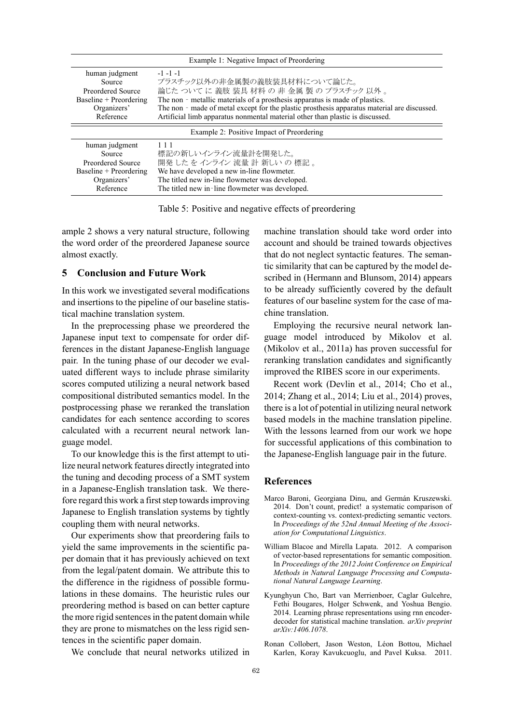|                                           | Example 1: Negative Impact of Preordering                                                   |  |
|-------------------------------------------|---------------------------------------------------------------------------------------------|--|
| human judgment                            | $-1 - 1 - 1$                                                                                |  |
| Source                                    | プラスチック以外の非金属製の義肢装具材料について論じた。                                                                |  |
| Preordered Source                         | 論じたついてに義肢装具材料の非金属製のプラスチック以外。                                                                |  |
| Baseline + Preordering                    | The non - metallic materials of a prosthesis apparatus is made of plastics.                 |  |
| Organizers'                               | The non - made of metal except for the plastic prosthesis apparatus material are discussed. |  |
| Reference                                 | Artificial limb apparatus nonmental material other than plastic is discussed.               |  |
| Example 2: Positive Impact of Preordering |                                                                                             |  |
| human judgment                            | 111                                                                                         |  |
| Source                                    | 標記の新しいインライン流量計を開発した。                                                                        |  |
| Preordered Source                         | 開発 した を インライン 流量 計 新しい の 標記 。                                                               |  |
| Baseline + Preordering                    | We have developed a new in-line flowmeter.                                                  |  |
| Organizers'                               | The titled new in-line flowmeter was developed.                                             |  |
| Reference                                 | The titled new in-line flowmeter was developed.                                             |  |

Table 5: Positive and negative effects of preordering

ample 2 shows a very natural structure, following the word order of the preordered Japanese source almost exactly.

## **5 Conclusion and Future Work**

In this work we investigated several modifications and insertions to the pipeline of our baseline statistical machine translation system.

In the preprocessing phase we preordered the Japanese input text to compensate for order differences in the distant Japanese-English language pair. In the tuning phase of our decoder we evaluated different ways to include phrase similarity scores computed utilizing a neural network based compositional distributed semantics model. In the postprocessing phase we reranked the translation candidates for each sentence according to scores calculated with a recurrent neural network language model.

To our knowledge this is the first attempt to utilize neural network features directly integrated into the tuning and decoding process of a SMT system in a Japanese-English translation task. We therefore regard this work a first step towards improving Japanese to English translation systems by tightly coupling them with neural networks.

Our experiments show that preordering fails to yield the same improvements in the scientific paper domain that it has previously achieved on text from the legal/patent domain. We attribute this to the difference in the rigidness of possible formulations in these domains. The heuristic rules our preordering method is based on can better capture the more rigid sentences in the patent domain while they are prone to mismatches on the less rigid sentences in the scientific paper domain.

We conclude that neural networks utilized in

machine translation should take word order into account and should be trained towards objectives that do not neglect syntactic features. The semantic similarity that can be captured by the model described in (Hermann and Blunsom, 2014) appears to be already sufficiently covered by the default features of our baseline system for the case of machine translation.

Employing the recursive neural network language model introduced by Mikolov et al. (Mikolov et al., 2011a) has proven successful for reranking translation candidates and significantly improved the RIBES score in our experiments.

Recent work (Devlin et al., 2014; Cho et al., 2014; Zhang et al., 2014; Liu et al., 2014) proves, there is a lot of potential in utilizing neural network based models in the machine translation pipeline. With the lessons learned from our work we hope for successful applications of this combination to the Japanese-English language pair in the future.

### **References**

- Marco Baroni, Georgiana Dinu, and Germán Kruszewski. 2014. Don't count, predict! a systematic comparison of context-counting vs. context-predicting semantic vectors. In *Proceedings of the 52nd Annual Meeting of the Association for Computational Linguistics*.
- William Blacoe and Mirella Lapata. 2012. A comparison of vector-based representations for semantic composition. In *Proceedings of the 2012 Joint Conference on Empirical Methods in Natural Language Processing and Computational Natural Language Learning*.
- Kyunghyun Cho, Bart van Merrienboer, Caglar Gulcehre, Fethi Bougares, Holger Schwenk, and Yoshua Bengio. 2014. Learning phrase representations using rnn encoderdecoder for statistical machine translation. *arXiv preprint arXiv:1406.1078*.
- Ronan Collobert, Jason Weston, Léon Bottou, Michael Karlen, Koray Kavukcuoglu, and Pavel Kuksa. 2011.